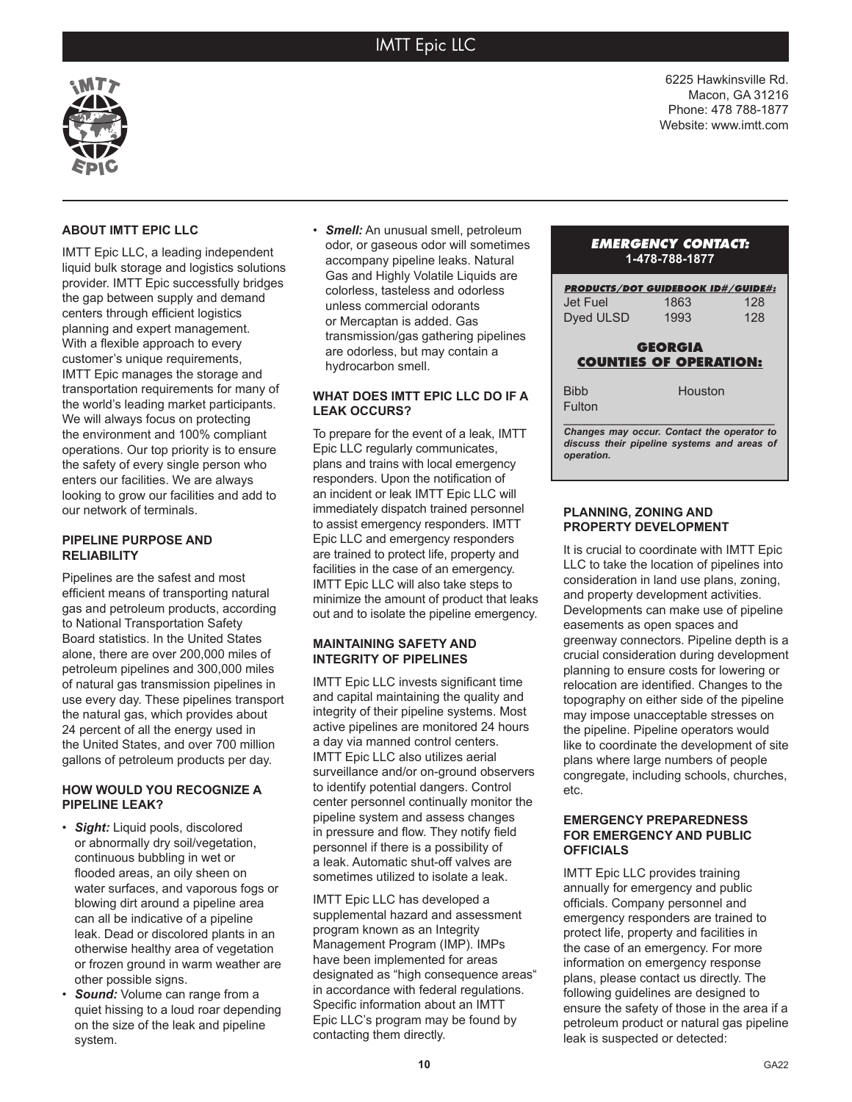# IMTT Epic LLC

6225 Hawkinsville Rd. Macon, GA 31216 Phone: 478 788-1877 Website: www.imtt.com



## **ABOUT IMTT EPIC LLC**

IMTT Epic LLC, a leading independent liquid bulk storage and logistics solutions provider. IMTT Epic successfully bridges the gap between supply and demand centers through efficient logistics planning and expert management. With a flexible approach to every customer's unique requirements, IMTT Epic manages the storage and transportation requirements for many of the world's leading market participants. We will always focus on protecting the environment and 100% compliant operations. Our top priority is to ensure the safety of every single person who enters our facilities. We are always looking to grow our facilities and add to our network of terminals.

## **PIPELINE PURPOSE AND RELIABILITY**

Pipelines are the safest and most efficient means of transporting natural gas and petroleum products, according to National Transportation Safety Board statistics. In the United States alone, there are over 200,000 miles of petroleum pipelines and 300,000 miles of natural gas transmission pipelines in use every day. These pipelines transport the natural gas, which provides about 24 percent of all the energy used in the United States, and over 700 million gallons of petroleum products per day.

### **HOW WOULD YOU RECOGNIZE A PIPELINE LEAK?**

- *Sight:* Liquid pools, discolored or abnormally dry soil/vegetation, continuous bubbling in wet or flooded areas, an oily sheen on water surfaces, and vaporous fogs or blowing dirt around a pipeline area can all be indicative of a pipeline leak. Dead or discolored plants in an otherwise healthy area of vegetation or frozen ground in warm weather are other possible signs.
- **Sound:** Volume can range from a quiet hissing to a loud roar depending on the size of the leak and pipeline system.

• *Smell:* An unusual smell, petroleum odor, or gaseous odor will sometimes accompany pipeline leaks. Natural Gas and Highly Volatile Liquids are colorless, tasteless and odorless unless commercial odorants or Mercaptan is added. Gas transmission/gas gathering pipelines are odorless, but may contain a hydrocarbon smell.

#### **WHAT DOES IMTT EPIC LLC DO IF A LEAK OCCURS?**

To prepare for the event of a leak, IMTT Epic LLC regularly communicates, plans and trains with local emergency responders. Upon the notification of an incident or leak IMTT Epic LLC will immediately dispatch trained personnel to assist emergency responders. IMTT Epic LLC and emergency responders are trained to protect life, property and facilities in the case of an emergency. IMTT Epic LLC will also take steps to minimize the amount of product that leaks out and to isolate the pipeline emergency.

#### **MAINTAINING SAFETY AND INTEGRITY OF PIPELINES**

IMTT Epic LLC invests significant time and capital maintaining the quality and integrity of their pipeline systems. Most active pipelines are monitored 24 hours a day via manned control centers. IMTT Epic LLC also utilizes aerial surveillance and/or on-ground observers to identify potential dangers. Control center personnel continually monitor the pipeline system and assess changes in pressure and flow. They notify field personnel if there is a possibility of a leak. Automatic shut-off valves are sometimes utilized to isolate a leak.

IMTT Epic LLC has developed a supplemental hazard and assessment program known as an Integrity Management Program (IMP). IMPs have been implemented for areas designated as "high consequence areas" in accordance with federal regulations. Specific information about an IMTT Epic LLC's program may be found by contacting them directly.

### *EMERGENCY CONTACT:* **1-478-788-1877**

| <b>PRODUCTS/DOT GUIDEBOOK ID#/GUIDE#:</b>                                                               |         |     |
|---------------------------------------------------------------------------------------------------------|---------|-----|
| Jet Fuel                                                                                                | 1863    | 128 |
| Dyed ULSD                                                                                               | 1993    | 128 |
| <b>GEORGIA</b>                                                                                          |         |     |
| <b>COUNTIES OF OPERATION:</b>                                                                           |         |     |
| <b>Bibb</b>                                                                                             | Houston |     |
| Fulton                                                                                                  |         |     |
| Changes may occur. Contact the operator to<br>discuss their pipeline systems and areas of<br>operation. |         |     |

#### **PLANNING, ZONING AND PROPERTY DEVELOPMENT**

It is crucial to coordinate with IMTT Epic LLC to take the location of pipelines into consideration in land use plans, zoning, and property development activities. Developments can make use of pipeline easements as open spaces and greenway connectors. Pipeline depth is a crucial consideration during development planning to ensure costs for lowering or relocation are identified. Changes to the topography on either side of the pipeline may impose unacceptable stresses on the pipeline. Pipeline operators would like to coordinate the development of site plans where large numbers of people congregate, including schools, churches, etc.

#### **EMERGENCY PREPAREDNESS FOR EMERGENCY AND PUBLIC OFFICIALS**

IMTT Epic LLC provides training annually for emergency and public officials. Company personnel and emergency responders are trained to protect life, property and facilities in the case of an emergency. For more information on emergency response plans, please contact us directly. The following guidelines are designed to ensure the safety of those in the area if a petroleum product or natural gas pipeline leak is suspected or detected: